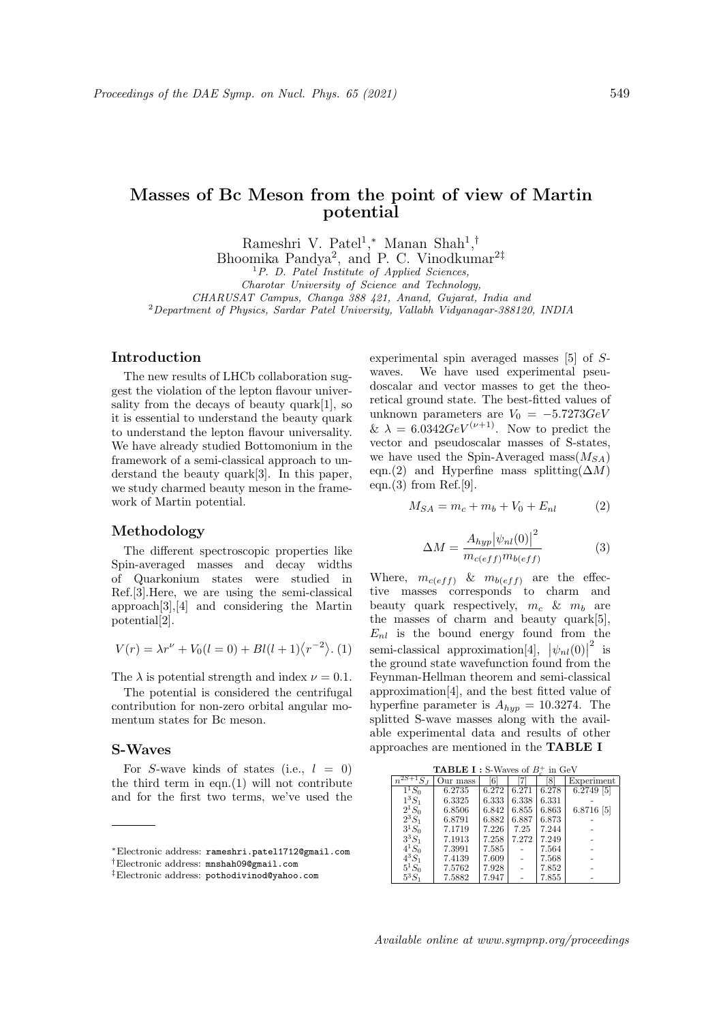# Masses of Bc Meson from the point of view of Martin potential

Rameshri V. Patel<sup>1</sup>,\* Manan Shah<sup>1</sup>,<sup>†</sup>

Bhoomika Pandya<sup>2</sup>, and P. C. Vinodkumar<sup>2‡</sup>

 ${}^{1}P$ . D. Patel Institute of Applied Sciences,

Charotar University of Science and Technology,

CHARUSAT Campus, Changa 388 421, Anand, Gujarat, India and

<sup>2</sup>Department of Physics, Sardar Patel University, Vallabh Vidyanagar-388120, INDIA

### Introduction

The new results of LHCb collaboration suggest the violation of the lepton flavour universality from the decays of beauty quark[1], so it is essential to understand the beauty quark to understand the lepton flavour universality. We have already studied Bottomonium in the framework of a semi-classical approach to understand the beauty quark[3]. In this paper, we study charmed beauty meson in the framework of Martin potential.

## Methodology

The different spectroscopic properties like Spin-averaged masses and decay widths of Quarkonium states were studied in Ref.[3].Here, we are using the semi-classical approach[3],[4] and considering the Martin potential[2].

$$
V(r) = \lambda r^{\nu} + V_0(l = 0) + Bl(l + 1)\langle r^{-2} \rangle.
$$
 (1)

The  $\lambda$  is potential strength and index  $\nu = 0.1$ .

The potential is considered the centrifugal contribution for non-zero orbital angular momentum states for Bc meson.

# S-Waves

For S-wave kinds of states (i.e.,  $l = 0$ ) the third term in eqn.(1) will not contribute and for the first two terms, we've used the experimental spin averaged masses [5] of Swaves. We have used experimental pseudoscalar and vector masses to get the theoretical ground state. The best-fitted values of unknown parameters are  $V_0 = -5.7273 GeV$ &  $\lambda = 6.0342 GeV^{(\nu+1)}$ . Now to predict the vector and pseudoscalar masses of S-states, we have used the Spin-Averaged mass $(M_{SA})$ eqn.(2) and Hyperfine mass splitting( $\Delta M$ ) eqn. $(3)$  from Ref.[9].

$$
M_{SA} = m_c + m_b + V_0 + E_{nl}
$$
 (2)

$$
\Delta M = \frac{A_{hyp} |\psi_{nl}(0)|^2}{m_{c(eff)} m_{b(eff)}}\tag{3}
$$

Where,  $m_{c(eff)}$  &  $m_{b(eff)}$  are the effective masses corresponds to charm and beauty quark respectively,  $m_c$  &  $m_b$  are the masses of charm and beauty quark[5],  $E_{nl}$  is the bound energy found from the semi-classical approximation[4],  $|\psi_{nl}(0)|$  $\frac{2}{15}$ the ground state wavefunction found from the Feynman-Hellman theorem and semi-classical approximation[4], and the best fitted value of hyperfine parameter is  $A_{hyp} = 10.3274$ . The splitted S-wave masses along with the available experimental data and results of other approaches are mentioned in the TABLE I

| <b>TABLE I</b> : S-Waves of $B_{\sigma}^{+}$ in GeV |  |
|-----------------------------------------------------|--|
|-----------------------------------------------------|--|

| <b>TADLE 1</b> : 5- Waves of $D_n$ in GeV |          |       |       |       |              |  |  |  |  |  |  |
|-------------------------------------------|----------|-------|-------|-------|--------------|--|--|--|--|--|--|
|                                           | Our mass | 61    |       | 8     | Experiment   |  |  |  |  |  |  |
| $1^1S_0$                                  | 6.2735   | 6.272 | 6.271 | 6.278 | $6.2749$ [5] |  |  |  |  |  |  |
| $1^3S_1$                                  | 6.3325   | 6.333 | 6.338 | 6.331 |              |  |  |  |  |  |  |
| $2^{1}S_{0}$                              | 6.8506   | 6.842 | 6.855 | 6.863 | 6.8716 [5]   |  |  |  |  |  |  |
| $2^3S_1$                                  | 6.8791   | 6.882 | 6.887 | 6.873 |              |  |  |  |  |  |  |
| $3^1S_0$                                  | 7.1719   | 7.226 | 7.25  | 7.244 |              |  |  |  |  |  |  |
| $3^3S_1$                                  | 7.1913   | 7.258 | 7.272 | 7.249 |              |  |  |  |  |  |  |
| $4^{1}S_{0}$                              | 7.3991   | 7.585 |       | 7.564 |              |  |  |  |  |  |  |
| $4^3S_1$                                  | 7.4139   | 7.609 |       | 7.568 |              |  |  |  |  |  |  |
| $5^1S_0$                                  | 7.5762   | 7.928 |       | 7.852 |              |  |  |  |  |  |  |
| $5^3S_1$                                  | 7.5882   | 7.947 |       | 7.855 |              |  |  |  |  |  |  |

<sup>∗</sup>Electronic address: rameshri.patel1712@gmail.com †Electronic address: mnshah09@gmail.com

<sup>‡</sup>Electronic address: pothodivinod@yahoo.com